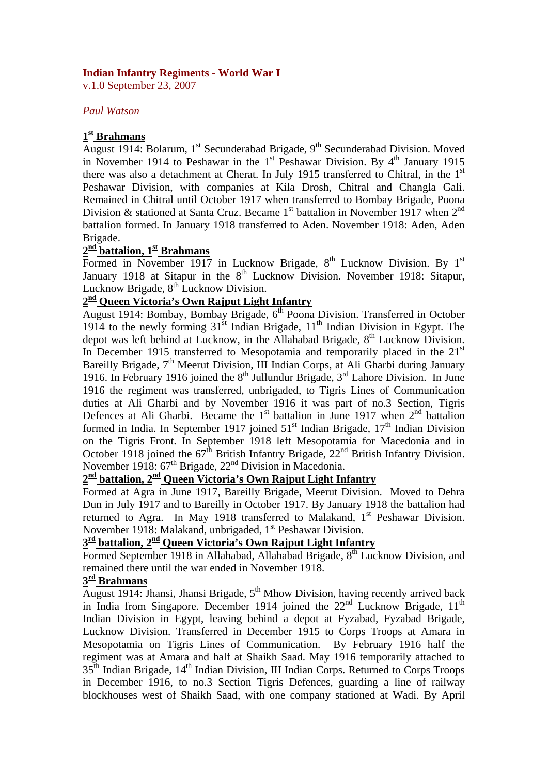#### **Indian Infantry Regiments - World War I**

v.1.0 September 23, 2007

#### *Paul Watson*

#### **1st Brahmans**

August 1914: Bolarum, 1<sup>st</sup> Secunderabad Brigade, 9<sup>th</sup> Secunderabad Division. Moved in November 1914 to Peshawar in the  $1<sup>st</sup>$  Peshawar Division. By  $4<sup>th</sup>$  January 1915 there was also a detachment at Cherat. In July 1915 transferred to Chitral, in the  $1<sup>st</sup>$ Peshawar Division, with companies at Kila Drosh, Chitral and Changla Gali. Remained in Chitral until October 1917 when transferred to Bombay Brigade, Poona Division & stationed at Santa Cruz. Became  $1<sup>st</sup>$  battalion in November 1917 when  $2<sup>nd</sup>$ battalion formed. In January 1918 transferred to Aden. November 1918: Aden, Aden Brigade.

# 2<sup>nd</sup> battalion, 1<sup>st</sup> Brahmans

Formed in November 1917 in Lucknow Brigade,  $8^{th}$  Lucknow Division. By  $1^{st}$ January 1918 at Sitapur in the 8<sup>th</sup> Lucknow Division. November 1918: Sitapur, Lucknow Brigade, 8<sup>th</sup> Lucknow Division.

#### **2nd Queen Victoria's Own Rajput Light Infantry**

August 1914: Bombay, Bombay Brigade, 6<sup>th</sup> Poona Division. Transferred in October 1914 to the newly forming  $31<sup>st</sup>$  Indian Brigade,  $11<sup>th</sup>$  Indian Division in Egypt. The depot was left behind at Lucknow, in the Allahabad Brigade,  $8<sup>th</sup>$  Lucknow Division. In December 1915 transferred to Mesopotamia and temporarily placed in the  $21<sup>st</sup>$ Bareilly Brigade, 7<sup>th</sup> Meerut Division, III Indian Corps, at Ali Gharbi during January 1916. In February 1916 joined the  $8<sup>th</sup>$  Jullundur Brigade,  $3<sup>rd</sup>$  Lahore Division. In June 1916 the regiment was transferred, unbrigaded, to Tigris Lines of Communication duties at Ali Gharbi and by November 1916 it was part of no.3 Section, Tigris Defences at Ali Gharbi. Became the  $1<sup>st</sup>$  battalion in June 1917 when  $2<sup>nd</sup>$  battalion formed in India. In September 1917 joined  $51<sup>st</sup>$  Indian Brigade,  $17<sup>th</sup>$  Indian Division on the Tigris Front. In September 1918 left Mesopotamia for Macedonia and in October 1918 joined the  $67<sup>th</sup>$  British Infantry Brigade,  $22<sup>nd</sup>$  British Infantry Division. November 1918:  $67<sup>th</sup>$  Brigade,  $22<sup>nd</sup>$  Division in Macedonia.

# **2nd battalion, 2nd Queen Victoria's Own Rajput Light Infantry**

Formed at Agra in June 1917, Bareilly Brigade, Meerut Division. Moved to Dehra Dun in July 1917 and to Bareilly in October 1917. By January 1918 the battalion had returned to Agra. In May 1918 transferred to Malakand,  $1<sup>st</sup>$  Peshawar Division. November 1918: Malakand, unbrigaded, 1<sup>st</sup> Peshawar Division.

# **3rd battalion, 2nd Queen Victoria's Own Rajput Light Infantry**

Formed September 1918 in Allahabad, Allahabad Brigade, 8<sup>th</sup> Lucknow Division, and remained there until the war ended in November 1918.

#### **3rd Brahmans**

August 1914: Jhansi, Jhansi Brigade,  $5<sup>th</sup>$  Mhow Division, having recently arrived back in India from Singapore. December 1914 joined the  $22<sup>nd</sup>$  Lucknow Brigade,  $11<sup>th</sup>$ Indian Division in Egypt, leaving behind a depot at Fyzabad, Fyzabad Brigade, Lucknow Division. Transferred in December 1915 to Corps Troops at Amara in Mesopotamia on Tigris Lines of Communication. By February 1916 half the regiment was at Amara and half at Shaikh Saad. May 1916 temporarily attached to  $35<sup>th</sup>$  Indian Brigade,  $14<sup>th</sup>$  Indian Division, III Indian Corps. Returned to Corps Troops in December 1916, to no.3 Section Tigris Defences, guarding a line of railway blockhouses west of Shaikh Saad, with one company stationed at Wadi. By April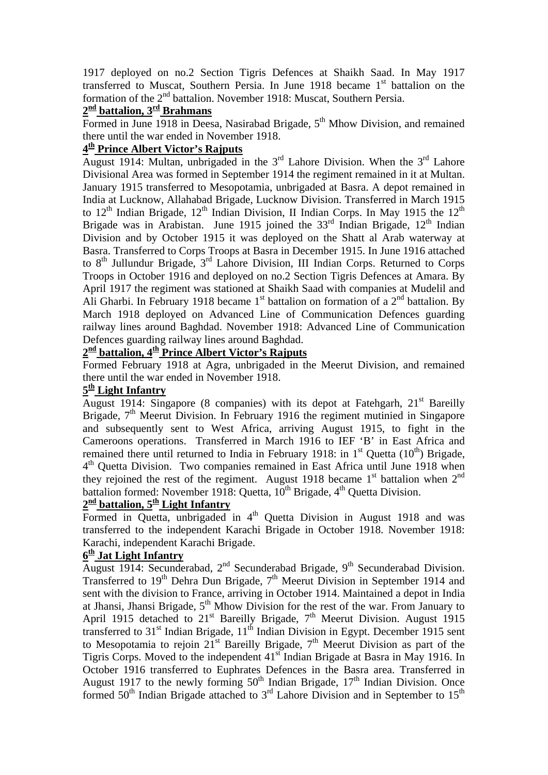1917 deployed on no.2 Section Tigris Defences at Shaikh Saad. In May 1917 transferred to Muscat, Southern Persia. In June 1918 became  $1<sup>st</sup>$  battalion on the formation of the  $2<sup>nd</sup>$  battalion. November 1918: Muscat, Southern Persia.

### **2nd battalion, 3rd Brahmans**

Formed in June 1918 in Deesa, Nasirabad Brigade,  $5<sup>th</sup>$  Mhow Division, and remained there until the war ended in November 1918.

#### **4th Prince Albert Victor's Rajputs**

August 1914: Multan, unbrigaded in the  $3<sup>rd</sup>$  Lahore Division. When the  $3<sup>rd</sup>$  Lahore Divisional Area was formed in September 1914 the regiment remained in it at Multan. January 1915 transferred to Mesopotamia, unbrigaded at Basra. A depot remained in India at Lucknow, Allahabad Brigade, Lucknow Division. Transferred in March 1915 to  $12<sup>th</sup>$  Indian Brigade,  $12<sup>th</sup>$  Indian Division, II Indian Corps. In May 1915 the  $12<sup>th</sup>$ Brigade was in Arabistan. June 1915 joined the  $33<sup>rd</sup>$  Indian Brigade,  $12<sup>th</sup>$  Indian Division and by October 1915 it was deployed on the Shatt al Arab waterway at Basra. Transferred to Corps Troops at Basra in December 1915. In June 1916 attached to  $8<sup>th</sup>$  Jullundur Brigade,  $3<sup>rd</sup>$  Lahore Division, III Indian Corps. Returned to Corps Troops in October 1916 and deployed on no.2 Section Tigris Defences at Amara. By April 1917 the regiment was stationed at Shaikh Saad with companies at Mudelil and Ali Gharbi. In February 1918 became  $1<sup>st</sup>$  battalion on formation of a  $2<sup>nd</sup>$  battalion. By March 1918 deployed on Advanced Line of Communication Defences guarding railway lines around Baghdad. November 1918: Advanced Line of Communication Defences guarding railway lines around Baghdad.

# 2<sup>nd</sup> battalion, 4<sup>th</sup> Prince Albert Victor's Rajputs

Formed February 1918 at Agra, unbrigaded in the Meerut Division, and remained there until the war ended in November 1918.

#### **5th Light Infantry**

 $\frac{2}{\text{August 1914: Singapore (8 companies)}$  with its depot at Fatehgarh,  $21^{\text{st}}$  Bareilly Brigade, 7<sup>th</sup> Meerut Division. In February 1916 the regiment mutinied in Singapore and subsequently sent to West Africa, arriving August 1915, to fight in the Cameroons operations. Transferred in March 1916 to IEF 'B' in East Africa and remained there until returned to India in February 1918: in  $1<sup>st</sup>$  Quetta (10<sup>th</sup>) Brigade, 4th Quetta Division. Two companies remained in East Africa until June 1918 when they rejoined the rest of the regiment. August 1918 became  $1<sup>st</sup>$  battalion when  $2<sup>nd</sup>$ battalion formed: November 1918: Quetta,  $10^{th}$  Brigade,  $4^{th}$  Quetta Division.

### **2nd battalion, 5th Light Infantry**

Formed in Quetta, unbrigaded in  $4<sup>th</sup>$  Quetta Division in August 1918 and was transferred to the independent Karachi Brigade in October 1918. November 1918: Karachi, independent Karachi Brigade.

#### **6th Jat Light Infantry**

August 1914: Secunderabad, 2<sup>nd</sup> Secunderabad Brigade, 9<sup>th</sup> Secunderabad Division. Transferred to  $19<sup>th</sup>$  Dehra Dun Brigade,  $7<sup>th</sup>$  Meerut Division in September 1914 and sent with the division to France, arriving in October 1914. Maintained a depot in India at Jhansi, Jhansi Brigade,  $5<sup>th</sup>$  Mhow Division for the rest of the war. From January to April 1915 detached to  $21<sup>st</sup>$  Bareilly Brigade,  $7<sup>th</sup>$  Meerut Division. August 1915 transferred to  $31<sup>st</sup>$  Indian Brigade,  $11<sup>th</sup>$  Indian Division in Egypt. December 1915 sent to Mesopotamia to rejoin  $21^{st}$  Bareilly Brigade,  $7^{th}$  Meerut Division as part of the Tigris Corps. Moved to the independent  $41<sup>st</sup>$  Indian Brigade at Basra in May 1916. In October 1916 transferred to Euphrates Defences in the Basra area. Transferred in August 1917 to the newly forming  $50<sup>th</sup>$  Indian Brigade,  $17<sup>th</sup>$  Indian Division. Once formed  $50<sup>th</sup>$  Indian Brigade attached to  $3<sup>rd</sup>$  Lahore Division and in September to  $15<sup>th</sup>$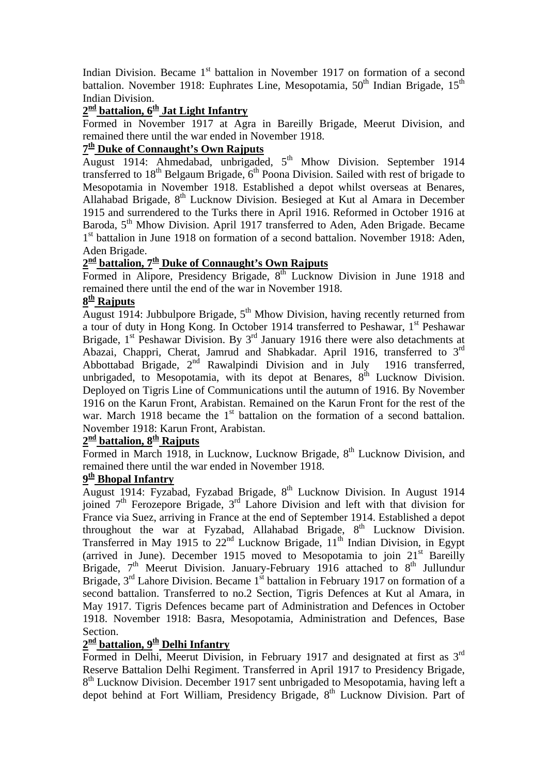Indian Division. Became 1<sup>st</sup> battalion in November 1917 on formation of a second battalion. November 1918: Euphrates Line, Mesopotamia,  $50<sup>th</sup>$  Indian Brigade,  $15<sup>th</sup>$ Indian Division.

### 2<sup>nd</sup> battalion, 6<sup>th</sup> Jat Light Infantry

Formed in November 1917 at Agra in Bareilly Brigade, Meerut Division, and remained there until the war ended in November 1918.

#### **7th Duke of Connaught's Own Rajputs**

August 1914: Ahmedabad, unbrigaded,  $5<sup>th</sup>$  Mhow Division. September 1914 transferred to  $18<sup>th</sup>$  Belgaum Brigade,  $6<sup>th</sup>$  Poona Division. Sailed with rest of brigade to Mesopotamia in November 1918. Established a depot whilst overseas at Benares, Allahabad Brigade, 8<sup>th</sup> Lucknow Division. Besieged at Kut al Amara in December 1915 and surrendered to the Turks there in April 1916. Reformed in October 1916 at Baroda, 5<sup>th</sup> Mhow Division. April 1917 transferred to Aden, Aden Brigade. Became 1<sup>st</sup> battalion in June 1918 on formation of a second battalion. November 1918: Aden, Aden Brigade.

# **2nd battalion, 7th Duke of Connaught's Own Rajputs**

Formed in Alipore, Presidency Brigade, 8<sup>th</sup> Lucknow Division in June 1918 and remained there until the end of the war in November 1918.

#### **8th Rajputs**

August 1914: Jubbulpore Brigade,  $5<sup>th</sup>$  Mhow Division, having recently returned from a tour of duty in Hong Kong. In October 1914 transferred to Peshawar, 1<sup>st</sup> Peshawar Brigade,  $1<sup>st</sup>$  Peshawar Division. By  $3<sup>rd</sup>$  January 1916 there were also detachments at Abazai, Chappri, Cherat, Jamrud and Shabkadar. April 1916, transferred to 3rd Abbottabad Brigade,  $2^{nd}$  Rawalpindi Division and in July 1916 transferred, unbrigaded, to Mesopotamia, with its depot at Benares,  $8<sup>th</sup>$  Lucknow Division. Deployed on Tigris Line of Communications until the autumn of 1916. By November 1916 on the Karun Front, Arabistan. Remained on the Karun Front for the rest of the war. March 1918 became the  $1<sup>st</sup>$  battalion on the formation of a second battalion. November 1918: Karun Front, Arabistan.

### $2^{\underline{\text{nd}}}$  battalion,  $8^{\underline{\text{th}}}$  Rajputs

Formed in March 1918, in Lucknow, Lucknow Brigade,  $8<sup>th</sup>$  Lucknow Division, and remained there until the war ended in November 1918.

#### **9th Bhopal Infantry**

August 1914: Fyzabad, Fyzabad Brigade, 8th Lucknow Division. In August 1914 joined  $7<sup>th</sup>$  Ferozepore Brigade,  $3<sup>rd</sup>$  Lahore Division and left with that division for France via Suez, arriving in France at the end of September 1914. Established a depot throughout the war at Fyzabad, Allahabad Brigade, 8<sup>th</sup> Lucknow Division. Transferred in May 1915 to 22<sup>nd</sup> Lucknow Brigade, 11<sup>th</sup> Indian Division, in Egypt (arrived in June). December 1915 moved to Mesopotamia to join  $21<sup>st</sup>$  Bareilly Brigade,  $7<sup>th</sup>$  Meerut Division. January-February 1916 attached to  $8<sup>th</sup>$  Jullundur Brigade,  $3<sup>rd</sup>$  Lahore Division. Became  $1<sup>st</sup>$  battalion in February 1917 on formation of a second battalion. Transferred to no.2 Section, Tigris Defences at Kut al Amara, in May 1917. Tigris Defences became part of Administration and Defences in October 1918. November 1918: Basra, Mesopotamia, Administration and Defences, Base Section.

#### $2^{\underline{\text{nd}}}$  battalion, 9<sup>th</sup> Delhi Infantry

Formed in Delhi, Meerut Division, in February 1917 and designated at first as 3<sup>rd</sup> Reserve Battalion Delhi Regiment. Transferred in April 1917 to Presidency Brigade, 8<sup>th</sup> Lucknow Division. December 1917 sent unbrigaded to Mesopotamia, having left a depot behind at Fort William, Presidency Brigade,  $8<sup>th</sup>$  Lucknow Division. Part of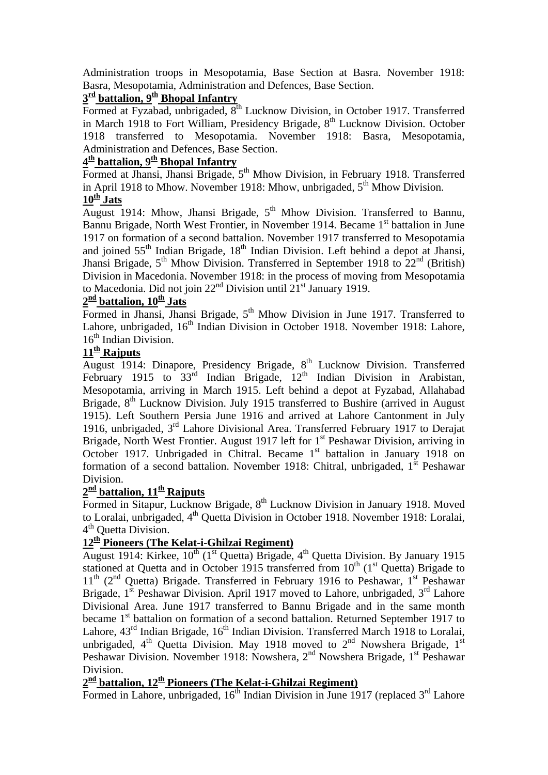Administration troops in Mesopotamia, Base Section at Basra. November 1918: Basra, Mesopotamia, Administration and Defences, Base Section.

# $3<sup>rd</sup>$  battalion,  $9<sup>th</sup>$  Bhopal Infantry

Formed at Fyzabad, unbrigaded, 8<sup>th</sup> Lucknow Division, in October 1917. Transferred in March 1918 to Fort William, Presidency Brigade,  $8<sup>th</sup>$  Lucknow Division. October 1918 transferred to Mesopotamia. November 1918: Basra, Mesopotamia, Administration and Defences, Base Section.

### **4th battalion, 9th Bhopal Infantry**

Formed at Jhansi, Jhansi Brigade, 5<sup>th</sup> Mhow Division, in February 1918. Transferred in April 1918 to Mhow. November 1918: Mhow, unbrigaded,  $5<sup>th</sup>$  Mhow Division.

#### $10^{\underline{th}}$  **Jats**

August 1914: Mhow, Jhansi Brigade,  $5<sup>th</sup>$  Mhow Division. Transferred to Bannu, Bannu Brigade, North West Frontier, in November 1914. Became 1<sup>st</sup> battalion in June 1917 on formation of a second battalion. November 1917 transferred to Mesopotamia and joined 55<sup>th</sup> Indian Brigade, 18<sup>th</sup> Indian Division. Left behind a depot at Jhansi, Jhansi Brigade,  $5^{th}$  Mhow Division. Transferred in September 1918 to  $22^{nd}$  (British) Division in Macedonia. November 1918: in the process of moving from Mesopotamia to Macedonia. Did not join  $22<sup>nd</sup>$  Division until  $21<sup>st</sup>$  January 1919.

#### 2<sup>nd</sup> battalion, 10<sup>th</sup> Jats

Formed in Jhansi, Jhansi Brigade,  $5<sup>th</sup>$  Mhow Division in June 1917. Transferred to Lahore, unbrigaded, 16<sup>th</sup> Indian Division in October 1918. November 1918: Lahore, 16<sup>th</sup> Indian Division.

#### $11<sup>th</sup>$  Rajputs

August 1914: Dinapore, Presidency Brigade, 8<sup>th</sup> Lucknow Division. Transferred February 1915 to  $33^{\text{rd}}$  Indian Brigade,  $12^{\text{th}}$  Indian Division in Arabistan, Mesopotamia, arriving in March 1915. Left behind a depot at Fyzabad, Allahabad Brigade, 8<sup>th</sup> Lucknow Division. July 1915 transferred to Bushire (arrived in August 1915). Left Southern Persia June 1916 and arrived at Lahore Cantonment in July 1916, unbrigaded,  $3<sup>rd</sup>$  Lahore Divisional Area. Transferred February 1917 to Derajat Brigade, North West Frontier. August 1917 left for 1<sup>st</sup> Peshawar Division, arriving in October 1917. Unbrigaded in Chitral. Became 1<sup>st</sup> battalion in January 1918 on formation of a second battalion. November 1918: Chitral, unbrigaded,  $1<sup>st</sup>$  Peshawar Division.

#### 2<sup>nd</sup> battalion, 11<sup>th</sup> Rajputs

Formed in Sitapur, Lucknow Brigade, 8<sup>th</sup> Lucknow Division in January 1918. Moved to Loralai, unbrigaded, 4<sup>th</sup> Quetta Division in October 1918. November 1918: Loralai, 4<sup>th</sup> Ouetta Division.

#### **12th Pioneers (The Kelat-i-Ghilzai Regiment)**

August 1914: Kirkee,  $10^{th}$  (1<sup>st</sup> Quetta) Brigade, 4<sup>th</sup> Quetta Division. By January 1915 stationed at Quetta and in October 1915 transferred from  $10<sup>th</sup>$  (1<sup>st</sup> Quetta) Brigade to  $11<sup>th</sup>$  (2<sup>nd</sup> Quetta) Brigade. Transferred in February 1916 to Peshawar, 1<sup>st</sup> Peshawar Brigade,  $1<sup>st</sup>$  Peshawar Division. April 1917 moved to Lahore, unbrigaded,  $3<sup>rd</sup>$  Lahore Divisional Area. June 1917 transferred to Bannu Brigade and in the same month became 1<sup>st</sup> battalion on formation of a second battalion. Returned September 1917 to Lahore,  $43<sup>rd</sup>$  Indian Brigade,  $16<sup>th</sup>$  Indian Division. Transferred March 1918 to Loralai, unbrigaded,  $4<sup>th</sup>$  Quetta Division. May 1918 moved to  $2<sup>nd</sup>$  Nowshera Brigade, 1<sup>st</sup> Peshawar Division. November 1918: Nowshera, 2<sup>nd</sup> Nowshera Brigade, 1<sup>st</sup> Peshawar Division.

# **2nd battalion, 12th Pioneers (The Kelat-i-Ghilzai Regiment)**

Formed in Lahore, unbrigaded,  $16<sup>th</sup>$  Indian Division in June 1917 (replaced  $3<sup>rd</sup>$  Lahore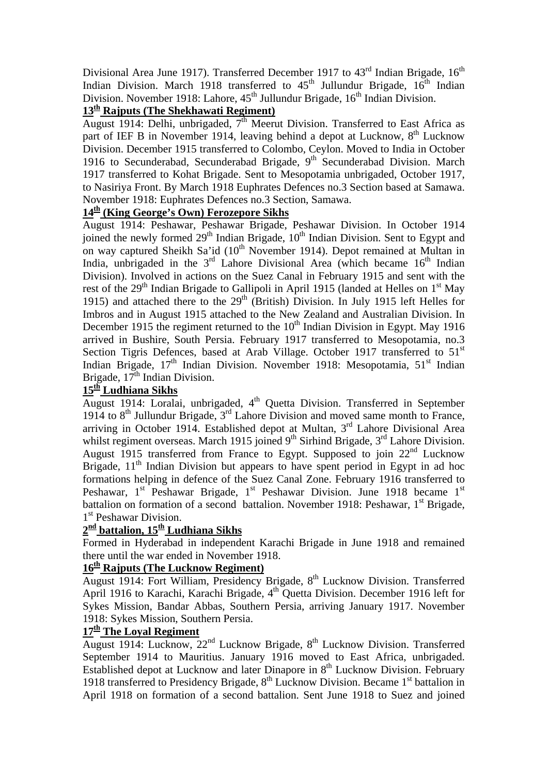Divisional Area June 1917). Transferred December 1917 to  $43<sup>rd</sup>$  Indian Brigade,  $16<sup>th</sup>$ Indian Division. March 1918 transferred to  $45<sup>th</sup>$  Jullundur Brigade,  $16<sup>th</sup>$  Indian Division. November 1918: Lahore,  $45<sup>th</sup>$  Jullundur Brigade,  $16<sup>th</sup>$  Indian Division.

# **13th Rajputs (The Shekhawati Regiment)**

August 1914: Delhi, unbrigaded,  $7<sup>th</sup>$  Meerut Division. Transferred to East Africa as part of IEF B in November 1914, leaving behind a depot at Lucknow,  $8<sup>th</sup>$  Lucknow Division. December 1915 transferred to Colombo, Ceylon. Moved to India in October 1916 to Secunderabad, Secunderabad Brigade,  $9<sup>th</sup>$  Secunderabad Division. March 1917 transferred to Kohat Brigade. Sent to Mesopotamia unbrigaded, October 1917, to Nasiriya Front. By March 1918 Euphrates Defences no.3 Section based at Samawa. November 1918: Euphrates Defences no.3 Section, Samawa.

#### **14th (King George's Own) Ferozepore Sikhs**

August 1914: Peshawar, Peshawar Brigade, Peshawar Division. In October 1914 joined the newly formed 29<sup>th</sup> Indian Brigade, 10<sup>th</sup> Indian Division. Sent to Egypt and on way captured Sheikh Sa'id  $(10^{th}$  November 1914). Depot remained at Multan in India, unbrigaded in the  $3<sup>rd</sup>$  Lahore Divisional Area (which became  $16<sup>th</sup>$  Indian Division). Involved in actions on the Suez Canal in February 1915 and sent with the rest of the  $29<sup>th</sup>$  Indian Brigade to Gallipoli in April 1915 (landed at Helles on  $1<sup>st</sup>$  May 1915) and attached there to the  $29<sup>th</sup>$  (British) Division. In July 1915 left Helles for Imbros and in August 1915 attached to the New Zealand and Australian Division. In December 1915 the regiment returned to the  $10<sup>th</sup>$  Indian Division in Egypt. May 1916 arrived in Bushire, South Persia. February 1917 transferred to Mesopotamia, no.3 Section Tigris Defences, based at Arab Village. October 1917 transferred to 51<sup>st</sup> Indian Brigade,  $17<sup>th</sup>$  Indian Division. November 1918: Mesopotamia,  $51<sup>st</sup>$  Indian Brigade,  $17<sup>th</sup>$  Indian Division.

### **15th Ludhiana Sikhs**

August 1914: Loralai, unbrigaded, 4th Quetta Division. Transferred in September 1914 to  $8<sup>th</sup>$  Jullundur Brigade,  $3<sup>rd</sup>$  Lahore Division and moved same month to France, arriving in October 1914. Established depot at Multan, 3<sup>rd</sup> Lahore Divisional Area whilst regiment overseas. March 1915 joined  $9<sup>th</sup>$  Sirhind Brigade,  $3<sup>rd</sup>$  Lahore Division. August 1915 transferred from France to Egypt. Supposed to join 22<sup>nd</sup> Lucknow Brigade,  $11<sup>th</sup>$  Indian Division but appears to have spent period in Egypt in ad hoc formations helping in defence of the Suez Canal Zone. February 1916 transferred to Peshawar,  $1<sup>st</sup>$  Peshawar Brigade,  $1<sup>st</sup>$  Peshawar Division. June 1918 became  $1<sup>st</sup>$ battalion on formation of a second battalion. November 1918: Peshawar,  $1<sup>st</sup>$  Brigade, 1<sup>st</sup> Peshawar Division.

#### **2nd battalion, 15th Ludhiana Sikhs**

Formed in Hyderabad in independent Karachi Brigade in June 1918 and remained there until the war ended in November 1918.

#### **16th Rajputs (The Lucknow Regiment)**

August 1914: Fort William, Presidency Brigade,  $8<sup>th</sup>$  Lucknow Division. Transferred April 1916 to Karachi, Karachi Brigade, 4<sup>th</sup> Quetta Division. December 1916 left for Sykes Mission, Bandar Abbas, Southern Persia, arriving January 1917. November 1918: Sykes Mission, Southern Persia.

#### **17th The Loyal Regiment**

August 1914: Lucknow,  $22<sup>nd</sup>$  Lucknow Brigade,  $8<sup>th</sup>$  Lucknow Division. Transferred September 1914 to Mauritius. January 1916 moved to East Africa, unbrigaded. Established depot at Lucknow and later Dinapore in 8<sup>th</sup> Lucknow Division. February 1918 transferred to Presidency Brigade,  $8<sup>th</sup>$  Lucknow Division. Became 1<sup>st</sup> battalion in April 1918 on formation of a second battalion. Sent June 1918 to Suez and joined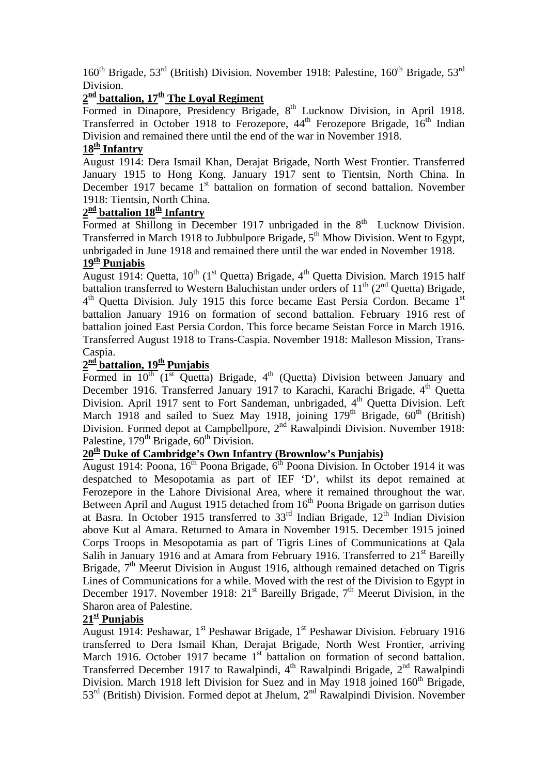$160<sup>th</sup>$  Brigade,  $53<sup>rd</sup>$  (British) Division. November 1918: Palestine,  $160<sup>th</sup>$  Brigade,  $53<sup>rd</sup>$ Division.

# $2<sup>nd</sup>$  battalion,  $17<sup>th</sup>$  The Loyal Regiment

Formed in Dinapore, Presidency Brigade, 8<sup>th</sup> Lucknow Division, in April 1918. Transferred in October 1918 to Ferozepore, 44<sup>th</sup> Ferozepore Brigade, 16<sup>th</sup> Indian Division and remained there until the end of the war in November 1918.

#### 18<sup>th</sup> Infantry

August 1914: Dera Ismail Khan, Derajat Brigade, North West Frontier. Transferred January 1915 to Hong Kong. January 1917 sent to Tientsin, North China. In December 1917 became  $1<sup>st</sup>$  battalion on formation of second battalion. November 1918: Tientsin, North China.

# 2<sup>nd</sup> battalion 18<sup>th</sup> Infantry

Formed at Shillong in December 1917 unbrigaded in the  $8<sup>th</sup>$  Lucknow Division. Transferred in March 1918 to Jubbulpore Brigade, 5<sup>th</sup> Mhow Division. Went to Egypt, unbrigaded in June 1918 and remained there until the war ended in November 1918.

#### **19th Punjabis**

August 1914: Quetta,  $10^{th}$  (1<sup>st</sup> Quetta) Brigade, 4<sup>th</sup> Quetta Division. March 1915 half battalion transferred to Western Baluchistan under orders of  $11<sup>th</sup>$  ( $2<sup>nd</sup>$  Quetta) Brigade,  $4<sup>th</sup>$  Quetta Division. July 1915 this force became East Persia Cordon. Became  $1<sup>st</sup>$ battalion January 1916 on formation of second battalion. February 1916 rest of battalion joined East Persia Cordon. This force became Seistan Force in March 1916. Transferred August 1918 to Trans-Caspia. November 1918: Malleson Mission, Trans-Caspia.

# 2<sup>nd</sup> battalion, 19<sup>th</sup> Punjabis

Formed in  $10^{th}$  (1<sup>st</sup> Quetta) Brigade, 4<sup>th</sup> (Quetta) Division between January and December 1916. Transferred January 1917 to Karachi, Karachi Brigade, 4<sup>th</sup> Quetta Division. April 1917 sent to Fort Sandeman, unbrigaded, 4<sup>th</sup> Quetta Division. Left March 1918 and sailed to Suez May 1918, joining  $179<sup>th</sup>$  Brigade,  $60<sup>th</sup>$  (British) Division. Formed depot at Campbellpore, 2<sup>nd</sup> Rawalpindi Division. November 1918: Palestine,  $179<sup>th</sup>$  Brigade,  $60<sup>th</sup>$  Division.

#### **20th Duke of Cambridge's Own Infantry (Brownlow's Punjabis)**

August 1914: Poona,  $16<sup>th</sup>$  Poona Brigade,  $6<sup>th</sup>$  Poona Division. In October 1914 it was despatched to Mesopotamia as part of IEF 'D', whilst its depot remained at Ferozepore in the Lahore Divisional Area, where it remained throughout the war. Between April and August 1915 detached from  $16<sup>th</sup>$  Poona Brigade on garrison duties at Basra. In October 1915 transferred to  $33<sup>rd</sup>$  Indian Brigade,  $12<sup>th</sup>$  Indian Division above Kut al Amara. Returned to Amara in November 1915. December 1915 joined Corps Troops in Mesopotamia as part of Tigris Lines of Communications at Qala Salih in January 1916 and at Amara from February 1916. Transferred to  $21<sup>st</sup>$  Bareilly Brigade,  $7<sup>th</sup>$  Meerut Division in August 1916, although remained detached on Tigris Lines of Communications for a while. Moved with the rest of the Division to Egypt in December 1917. November 1918:  $21^{st}$  Bareilly Brigade,  $7^{th}$  Meerut Division, in the Sharon area of Palestine.

#### **21st Punjabis**

August 1914: Peshawar, 1<sup>st</sup> Peshawar Brigade, 1<sup>st</sup> Peshawar Division. February 1916 transferred to Dera Ismail Khan, Derajat Brigade, North West Frontier, arriving March 1916. October 1917 became 1<sup>st</sup> battalion on formation of second battalion. Transferred December 1917 to Rawalpindi, 4<sup>th</sup> Rawalpindi Brigade, 2<sup>nd</sup> Rawalpindi Division. March 1918 left Division for Suez and in May 1918 joined  $160<sup>th</sup>$  Brigade, 53<sup>rd</sup> (British) Division. Formed depot at Jhelum, 2<sup>nd</sup> Rawalpindi Division. November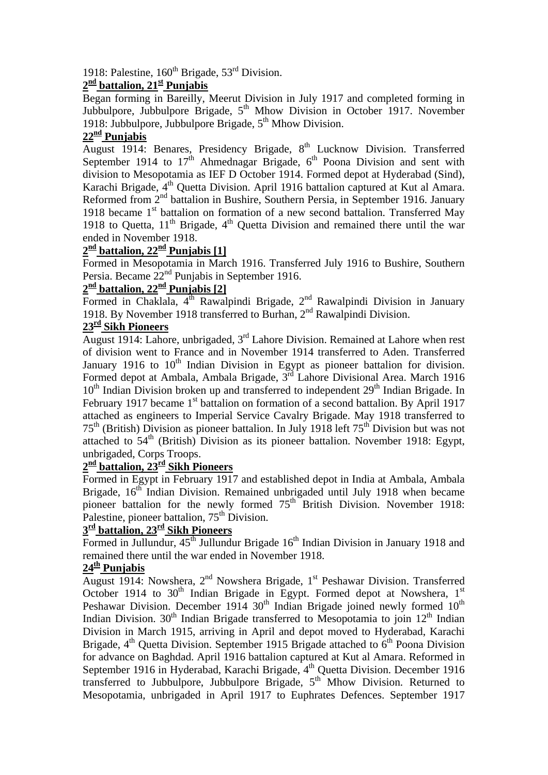## 1918: Palestine,  $160^{th}$  Brigade,  $53^{rd}$  Division.

# **2nd battalion, 21st Punjabis**

Began forming in Bareilly, Meerut Division in July 1917 and completed forming in Jubbulpore, Jubbulpore Brigade, 5<sup>th</sup> Mhow Division in October 1917. November 1918: Jubbulpore, Jubbulpore Brigade,  $5<sup>th</sup>$  Mhow Division.

#### **22nd Punjabis**

August 1914: Benares, Presidency Brigade, 8<sup>th</sup> Lucknow Division. Transferred September 1914 to  $17<sup>th</sup>$  Ahmednagar Brigade,  $6<sup>th</sup>$  Poona Division and sent with division to Mesopotamia as IEF D October 1914. Formed depot at Hyderabad (Sind), Karachi Brigade, 4<sup>th</sup> Quetta Division. April 1916 battalion captured at Kut al Amara. Reformed from 2<sup>nd</sup> battalion in Bushire, Southern Persia, in September 1916. January 1918 became  $1<sup>st</sup>$  battalion on formation of a new second battalion. Transferred May 1918 to Quetta,  $11<sup>th</sup>$  Brigade,  $4<sup>th</sup>$  Quetta Division and remained there until the war ended in November 1918.

# $2^{\frac{nd}{}}$  battalion,  $22^{\frac{nd}{}}$  Punjabis [1]

Formed in Mesopotamia in March 1916. Transferred July 1916 to Bushire, Southern Persia. Became 22<sup>nd</sup> Punjabis in September 1916.

# 2<sup>nd</sup> battalion, 22<sup>nd</sup> Punjabis [2]

Formed in Chaklala,  $4^{th}$  Rawalpindi Brigade,  $2^{nd}$  Rawalpindi Division in January 1918. By November 1918 transferred to Burhan,  $2<sup>nd</sup>$  Rawalpindi Division.

#### **23rd Sikh Pioneers**

August 1914: Lahore, unbrigaded, 3rd Lahore Division. Remained at Lahore when rest of division went to France and in November 1914 transferred to Aden. Transferred January 1916 to  $10<sup>th</sup>$  Indian Division in Egypt as pioneer battalion for division. Formed depot at Ambala, Ambala Brigade, 3rd Lahore Divisional Area. March 1916  $10<sup>th</sup>$  Indian Division broken up and transferred to independent  $29<sup>th</sup>$  Indian Brigade. In February 1917 became 1<sup>st</sup> battalion on formation of a second battalion. By April 1917 attached as engineers to Imperial Service Cavalry Brigade. May 1918 transferred to  $75<sup>th</sup>$  (British) Division as pioneer battalion. In July 1918 left  $75<sup>th</sup>$  Division but was not attached to  $54<sup>th</sup>$  (British) Division as its pioneer battalion. November 1918: Egypt, unbrigaded, Corps Troops.

#### **2nd battalion, 23rd Sikh Pioneers**

Formed in Egypt in February 1917 and established depot in India at Ambala, Ambala Brigade,  $16<sup>th</sup>$  Indian Division. Remained unbrigaded until July 1918 when became pioneer battalion for the newly formed  $75<sup>th</sup>$  British Division. November 1918: Palestine, pioneer battalion,  $75<sup>th</sup>$  Division.

#### **3rd battalion, 23rd Sikh Pioneers**

Formed in Jullundur,  $45^{\text{th}}$  Jullundur Brigade 16<sup>th</sup> Indian Division in January 1918 and remained there until the war ended in November 1918.

#### **24th Punjabis**

August 1914: Nowshera,  $2<sup>nd</sup>$  Nowshera Brigade, 1<sup>st</sup> Peshawar Division. Transferred October 1914 to  $30<sup>th</sup>$  Indian Brigade in Egypt. Formed depot at Nowshera,  $1<sup>st</sup>$ Peshawar Division. December 1914  $30<sup>th</sup>$  Indian Brigade joined newly formed  $10<sup>th</sup>$ Indian Division.  $30<sup>th</sup>$  Indian Brigade transferred to Mesopotamia to join  $12<sup>th</sup>$  Indian Division in March 1915, arriving in April and depot moved to Hyderabad, Karachi Brigade,  $4<sup>th</sup>$  Quetta Division. September 1915 Brigade attached to  $6<sup>th</sup>$  Poona Division for advance on Baghdad. April 1916 battalion captured at Kut al Amara. Reformed in September 1916 in Hyderabad, Karachi Brigade, 4<sup>th</sup> Quetta Division. December 1916 transferred to Jubbulpore, Jubbulpore Brigade, 5<sup>th</sup> Mhow Division. Returned to Mesopotamia, unbrigaded in April 1917 to Euphrates Defences. September 1917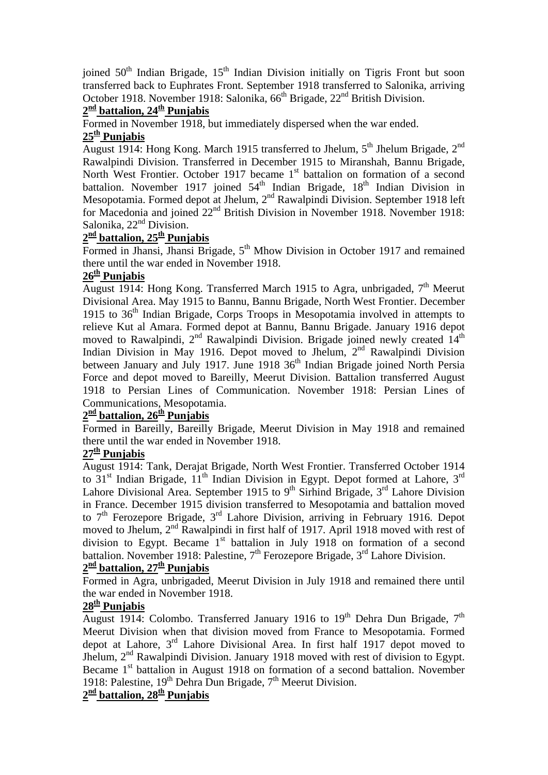joined 50<sup>th</sup> Indian Brigade, 15<sup>th</sup> Indian Division initially on Tigris Front but soon transferred back to Euphrates Front. September 1918 transferred to Salonika, arriving October 1918. November 1918: Salonika, 66<sup>th</sup> Brigade, 22<sup>nd</sup> British Division.

### **2nd battalion, 24th Punjabis**

Formed in November 1918, but immediately dispersed when the war ended.

### **25th Punjabis**

August 1914: Hong Kong. March 1915 transferred to Jhelum, 5<sup>th</sup> Jhelum Brigade, 2<sup>nd</sup> Rawalpindi Division. Transferred in December 1915 to Miranshah, Bannu Brigade, North West Frontier. October 1917 became  $1<sup>st</sup>$  battalion on formation of a second battalion. November 1917 joined  $54<sup>th</sup>$  Indian Brigade,  $18<sup>th</sup>$  Indian Division in Mesopotamia. Formed depot at Jhelum, 2<sup>nd</sup> Rawalpindi Division. September 1918 left for Macedonia and joined  $22<sup>nd</sup>$  British Division in November 1918. November 1918: Salonika, 22<sup>nd</sup> Division.

# **2nd battalion, 25th Punjabis**

Formed in Jhansi, Jhansi Brigade, 5<sup>th</sup> Mhow Division in October 1917 and remained there until the war ended in November 1918.

### **26th Punjabis**

August 1914: Hong Kong. Transferred March 1915 to Agra, unbrigaded,  $7<sup>th</sup>$  Meerut Divisional Area. May 1915 to Bannu, Bannu Brigade, North West Frontier. December 1915 to  $36<sup>th</sup>$  Indian Brigade, Corps Troops in Mesopotamia involved in attempts to relieve Kut al Amara. Formed depot at Bannu, Bannu Brigade. January 1916 depot moved to Rawalpindi,  $2<sup>nd</sup>$  Rawalpindi Division. Brigade joined newly created  $14<sup>th</sup>$ Indian Division in May 1916. Depot moved to Jhelum, 2<sup>nd</sup> Rawalpindi Division between January and July 1917. June 1918 36<sup>th</sup> Indian Brigade joined North Persia Force and depot moved to Bareilly, Meerut Division. Battalion transferred August 1918 to Persian Lines of Communication. November 1918: Persian Lines of Communications, Mesopotamia.

# $2^{\underline{\text{nd}}}$  battalion,  $26^{\underline{\text{th}}}$  Punjabis

Formed in Bareilly, Bareilly Brigade, Meerut Division in May 1918 and remained there until the war ended in November 1918.

#### **27th Punjabis**

August 1914: Tank, Derajat Brigade, North West Frontier. Transferred October 1914 to  $31<sup>st</sup>$  Indian Brigade,  $11<sup>th</sup>$  Indian Division in Egypt. Depot formed at Lahore,  $3<sup>rd</sup>$ Lahore Divisional Area. September 1915 to 9<sup>th</sup> Sirhind Brigade,  $3^{rd}$  Lahore Division in France. December 1915 division transferred to Mesopotamia and battalion moved to 7<sup>th</sup> Ferozepore Brigade, 3<sup>rd</sup> Lahore Division, arriving in February 1916. Depot moved to Jhelum, 2<sup>nd</sup> Rawalpindi in first half of 1917. April 1918 moved with rest of division to Egypt. Became 1<sup>st</sup> battalion in July 1918 on formation of a second battalion. November 1918: Palestine,  $7<sup>th</sup>$  Ferozepore Brigade,  $3<sup>rd</sup>$  Lahore Division.

# 2<sup>nd</sup> battalion, 27<sup>th</sup> Punjabis

Formed in Agra, unbrigaded, Meerut Division in July 1918 and remained there until the war ended in November 1918.

### **28th Punjabis**

August 1914: Colombo. Transferred January 1916 to 19<sup>th</sup> Dehra Dun Brigade,  $7<sup>th</sup>$ Meerut Division when that division moved from France to Mesopotamia. Formed depot at Lahore,  $3<sup>rd</sup>$  Lahore Divisional Area. In first half 1917 depot moved to Jhelum, 2nd Rawalpindi Division. January 1918 moved with rest of division to Egypt. Became 1<sup>st</sup> battalion in August 1918 on formation of a second battalion. November 1918: Palestine, 19<sup>th</sup> Dehra Dun Brigade, 7<sup>th</sup> Meerut Division.

# **2nd battalion, 28th Punjabis**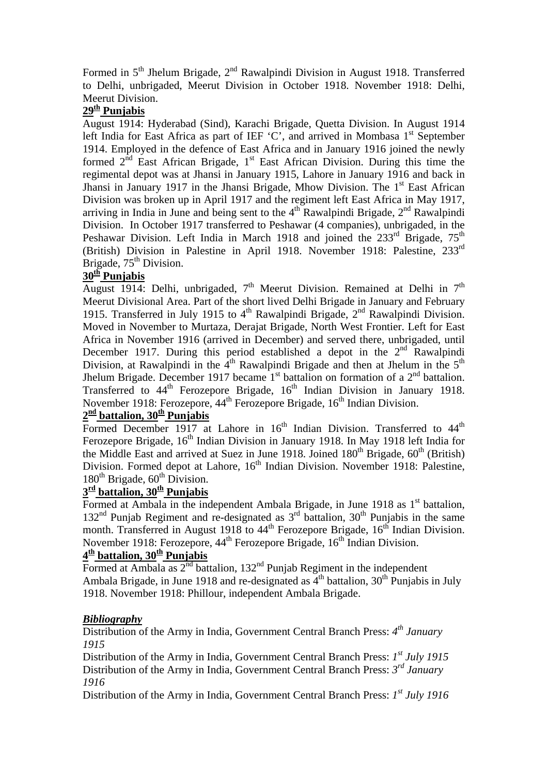Formed in 5<sup>th</sup> Jhelum Brigade, 2<sup>nd</sup> Rawalpindi Division in August 1918. Transferred to Delhi, unbrigaded, Meerut Division in October 1918. November 1918: Delhi, Meerut Division.

### **29th Punjabis**

August 1914: Hyderabad (Sind), Karachi Brigade, Quetta Division. In August 1914 left India for East Africa as part of IEF 'C', and arrived in Mombasa  $1<sup>st</sup>$  September 1914. Employed in the defence of East Africa and in January 1916 joined the newly formed  $2^{\text{nd}}$  East African Brigade,  $1^{\text{st}}$  East African Division. During this time the regimental depot was at Jhansi in January 1915, Lahore in January 1916 and back in Jhansi in January 1917 in the Jhansi Brigade, Mhow Division. The  $1<sup>st</sup>$  East African Division was broken up in April 1917 and the regiment left East Africa in May 1917, arriving in India in June and being sent to the  $4<sup>th</sup>$  Rawalpindi Brigade,  $2<sup>nd</sup>$  Rawalpindi Division. In October 1917 transferred to Peshawar (4 companies), unbrigaded, in the Peshawar Division. Left India in March 1918 and joined the 233<sup>rd</sup> Brigade, 75<sup>th</sup> (British) Division in Palestine in April 1918. November 1918: Palestine, 233rd Brigade,  $75<sup>th</sup>$  Division.

### **30th Punjabis**

August 1914: Delhi, unbrigaded,  $7<sup>th</sup>$  Meerut Division. Remained at Delhi in  $7<sup>th</sup>$ Meerut Divisional Area. Part of the short lived Delhi Brigade in January and February 1915. Transferred in July 1915 to  $4<sup>th</sup>$  Rawalpindi Brigade,  $2<sup>nd</sup>$  Rawalpindi Division. Moved in November to Murtaza, Derajat Brigade, North West Frontier. Left for East Africa in November 1916 (arrived in December) and served there, unbrigaded, until December 1917. During this period established a depot in the  $2<sup>nd</sup>$  Rawalpindi Division, at Rawalpindi in the  $4<sup>th</sup>$  Rawalpindi Brigade and then at Jhelum in the  $5<sup>th</sup>$ Jhelum Brigade. December 1917 became  $1<sup>st</sup>$  battalion on formation of a  $2<sup>nd</sup>$  battalion. Transferred to  $44<sup>th</sup>$  Ferozepore Brigade,  $16<sup>th</sup>$  Indian Division in January 1918. November 1918: Ferozepore, 44<sup>th</sup> Ferozepore Brigade, 16<sup>th</sup> Indian Division.

# 2<sup>nd</sup> battalion, 30<sup>th</sup> Punjabis

Formed December 1917 at Lahore in  $16<sup>th</sup>$  Indian Division. Transferred to  $44<sup>th</sup>$ Ferozepore Brigade, 16<sup>th</sup> Indian Division in January 1918. In May 1918 left India for the Middle East and arrived at Suez in June 1918. Joined  $180<sup>th</sup>$  Brigade,  $60<sup>th</sup>$  (British) Division. Formed depot at Lahore, 16<sup>th</sup> Indian Division. November 1918: Palestine,  $180<sup>th</sup>$  Brigade,  $60<sup>th</sup>$  Division.

# 3<sup>rd</sup> battalion, 30<sup>th</sup> Punjabis

Formed at Ambala in the independent Ambala Brigade, in June 1918 as  $1<sup>st</sup>$  battalion,  $132<sup>nd</sup>$  Punjab Regiment and re-designated as  $3<sup>rd</sup>$  battalion,  $30<sup>th</sup>$  Punjabis in the same month. Transferred in August 1918 to  $44<sup>th</sup>$  Ferozepore Brigade, 16<sup>th</sup> Indian Division. November 1918: Ferozepore, 44<sup>th</sup> Ferozepore Brigade, 16<sup>th</sup> Indian Division.

### $4<sup>th</sup>$  battalion,  $30<sup>th</sup>$  Punjabis

Formed at Ambala as  $2^{nd}$  battalion,  $132^{nd}$  Punjab Regiment in the independent Ambala Brigade, in June 1918 and re-designated as  $4<sup>th</sup>$  battalion, 30<sup>th</sup> Punjabis in July 1918. November 1918: Phillour, independent Ambala Brigade.

#### *Bibliography*

Distribution of the Army in India, Government Central Branch Press: *4th January 1915* 

Distribution of the Army in India, Government Central Branch Press: *1st July 1915*  Distribution of the Army in India, Government Central Branch Press: *3rd January 1916* 

Distribution of the Army in India, Government Central Branch Press: *1st July 1916*